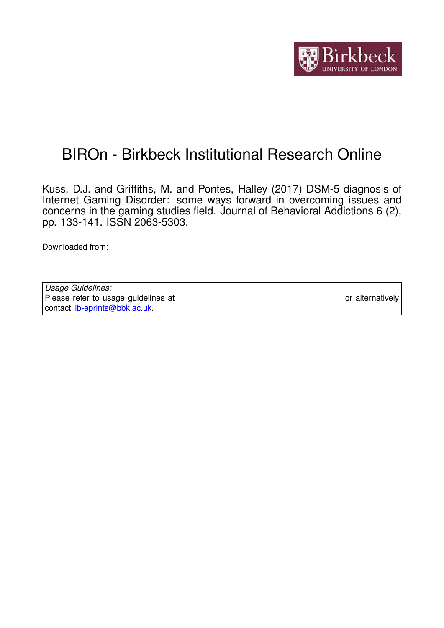

## BIROn - Birkbeck Institutional Research Online

Kuss, D.J. and Griffiths, M. and Pontes, Halley (2017) DSM-5 diagnosis of Internet Gaming Disorder: some ways forward in overcoming issues and concerns in the gaming studies field. Journal of Behavioral Addictions 6 (2), pp. 133-141. ISSN 2063-5303.

Downloaded from: <https://eprints.bbk.ac.uk/id/eprint/43496/>

*Usage Guidelines:* Please refer to usage guidelines at <https://eprints.bbk.ac.uk/policies.html> or alternatively contact [lib-eprints@bbk.ac.uk.](mailto:lib-eprints@bbk.ac.uk)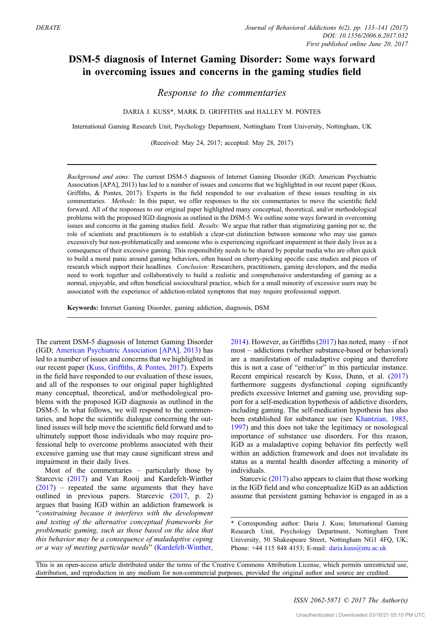## DSM-5 diagnosis of Internet Gaming Disorder: Some ways forward in overcoming issues and concerns in the gaming studies field

Response to the commentaries

DARIA J. KUSS\*, MARK D. GRIFFITHS and HALLEY M. PONTES

International Gaming Research Unit, Psychology Department, Nottingham Trent University, Nottingham, UK

(Received: May 24, 2017; accepted: May 28, 2017)

Background and aims: The current DSM-5 diagnosis of Internet Gaming Disorder (IGD; American Psychiatric Association [APA], 2013) has led to a number of issues and concerns that we highlighted in our recent paper (Kuss, Griffiths, & Pontes, 2017). Experts in the field responded to our evaluation of these issues resulting in six commentaries. Methods: In this paper, we offer responses to the six commentaries to move the scientific field forward. All of the responses to our original paper highlighted many conceptual, theoretical, and/or methodological problems with the proposed IGD diagnosis as outlined in the DSM-5. We outline some ways forward in overcoming issues and concerns in the gaming studies field. Results: We argue that rather than stigmatizing gaming per se, the role of scientists and practitioners is to establish a clear-cut distinction between someone who may use games excessively but non-problematically and someone who is experiencing significant impairment in their daily lives as a consequence of their excessive gaming. This responsibility needs to be shared by popular media who are often quick to build a moral panic around gaming behaviors, often based on cherry-picking specific case studies and pieces of research which support their headlines. Conclusion: Researchers, practitioners, gaming developers, and the media need to work together and collaboratively to build a realistic and comprehensive understanding of gaming as a normal, enjoyable, and often beneficial sociocultural practice, which for a small minority of excessive users may be associated with the experience of addiction-related symptoms that may require professional support.

Keywords: Internet Gaming Disorder, gaming addiction, diagnosis, DSM

The current DSM-5 diagnosis of Internet Gaming Disorder (IGD; [American Psychiatric Association \[APA\], 2013](#page-7-0)) has led to a number of issues and concerns that we highlighted in our recent paper (Kuss, Griffi[ths, & Pontes, 2017\)](#page-9-0). Experts in the field have responded to our evaluation of these issues, and all of the responses to our original paper highlighted many conceptual, theoretical, and/or methodological problems with the proposed IGD diagnosis as outlined in the DSM-5. In what follows, we will respond to the commentaries, and hope the scientific dialogue concerning the outlined issues will help move the scientific field forward and to ultimately support those individuals who may require professional help to overcome problems associated with their excessive gaming use that may cause significant stress and impairment in their daily lives.

Most of the commentaries – particularly those by Starcevic ([2017\)](#page-9-0) and Van Rooij and Kardefelt-Winther  $(2017)$  $(2017)$  – repeated the same arguments that they have outlined in previous papers. Starcevic [\(2017](#page-9-0), p. 2) argues that basing IGD within an addiction framework is "constraining because it interferes with the development and testing of the alternative conceptual frameworks for problematic gaming, such as those based on the idea that this behavior may be a consequence of maladaptive coping or a way of meeting particular needs" [\(Kardefelt-Winther,](#page-8-0)

[2014\)](#page-8-0). However, as Griffiths  $(2017)$  $(2017)$  has noted, many – if not most – addictions (whether substance-based or behavioral) are a manifestation of maladaptive coping and therefore this is not a case of "either/or" in this particular instance. Recent empirical research by Kuss, Dunn, et al. ([2017\)](#page-8-0) furthermore suggests dysfunctional coping significantly predicts excessive Internet and gaming use, providing support for a self-medication hypothesis of addictive disorders, including gaming. The self-medication hypothesis has also been established for substance use (see [Khantzian, 1985,](#page-8-0) [1997\)](#page-8-0) and this does not take the legitimacy or nosological importance of substance use disorders. For this reason, IGD as a maladaptive coping behavior fits perfectly well within an addiction framework and does not invalidate its status as a mental health disorder affecting a minority of individuals.

Starcevic ([2017\)](#page-9-0) also appears to claim that those working in the IGD field and who conceptualize IGD as an addiction assume that persistent gaming behavior is engaged in as a

\* Corresponding author: Daria J. Kuss; International Gaming Research Unit, Psychology Department, Nottingham Trent University, 50 Shakespeare Street, Nottingham NG1 4FQ, UK; Phone: +44 115 848 4153; E-mail: [daria.kuss@ntu.ac.uk](mailto:daria.kuss@ntu.ac.uk)

This is an open-access article distributed under the terms of the Creative Commons Attribution License, which permits unrestricted use, distribution, and reproduction in any medium for non-commercial purposes, provided the original author and source are credited.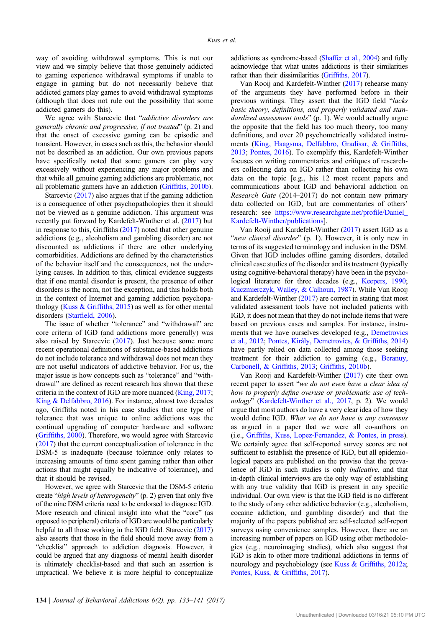way of avoiding withdrawal symptoms. This is not our view and we simply believe that those genuinely addicted to gaming experience withdrawal symptoms if unable to engage in gaming but do not necessarily believe that addicted gamers play games to avoid withdrawal symptoms (although that does not rule out the possibility that some addicted gamers do this).

We agree with Starcevic that "addictive disorders are generally chronic and progressive, if not treated" (p. 2) and that the onset of excessive gaming can be episodic and transient. However, in cases such as this, the behavior should not be described as an addiction. Our own previous papers have specifically noted that some gamers can play very excessively without experiencing any major problems and that while all genuine gaming addictions are problematic, not all problematic gamers have an addiction (Griffi[ths, 2010b](#page-7-0)).

Starcevic ([2017\)](#page-9-0) also argues that if the gaming addiction is a consequence of other psychopathologies then it should not be viewed as a genuine addiction. This argument was recently put forward by Kardefelt-Winther et al. ([2017\)](#page-8-0) but in response to this, Griffiths ([2017\)](#page-7-0) noted that other genuine addictions (e.g., alcoholism and gambling disorder) are not discounted as addictions if there are other underlying comorbidities. Addictions are defined by the characteristics of the behavior itself and the consequences, not the underlying causes. In addition to this, clinical evidence suggests that if one mental disorder is present, the presence of other disorders is the norm, not the exception, and this holds both in the context of Internet and gaming addiction psychopathology [\(Kuss & Grif](#page-8-0)fiths, 2015) as well as for other mental disorders (Starfi[eld, 2006\)](#page-9-0).

The issue of whether "tolerance" and "withdrawal" are core criteria of IGD (and addictions more generally) was also raised by Starcevic ([2017\)](#page-9-0). Just because some more recent operational definitions of substance-based addictions do not include tolerance and withdrawal does not mean they are not useful indicators of addictive behavior. For us, the major issue is how concepts such as "tolerance" and "withdrawal" are defined as recent research has shown that these criteria in the context of IGD are more nuanced [\(King, 2017;](#page-8-0) [King & Delfabbro, 2016\)](#page-8-0). For instance, almost two decades ago, Griffiths noted in his case studies that one type of tolerance that was unique to online addictions was the continual upgrading of computer hardware and software (Griffi[ths, 2000](#page-7-0)). Therefore, we would agree with Starcevic [\(2017](#page-9-0)) that the current conceptualization of tolerance in the DSM-5 is inadequate (because tolerance only relates to increasing amounts of time spent gaming rather than other actions that might equally be indicative of tolerance), and that it should be revised.

However, we agree with Starcevic that the DSM-5 criteria create "high levels of heterogeneity" (p. 2) given that only five of the nine DSM criteria need to be endorsed to diagnose IGD. More research and clinical insight into what the "core" (as opposed to peripheral) criteria of IGD are would be particularly helpful to all those working in the IGD field. Starcevic  $(2017)$  $(2017)$ also asserts that those in the field should move away from a "checklist" approach to addiction diagnosis. However, it could be argued that any diagnosis of mental health disorder is ultimately checklist-based and that such an assertion is impractical. We believe it is more helpful to conceptualize

addictions as syndrome-based [\(Shaffer et al., 2004\)](#page-9-0) and fully acknowledge that what unites addictions is their similarities rather than their dissimilarities (Griffi[ths, 2017\)](#page-7-0).

Van Rooij and Kardefelt-Winther ([2017\)](#page-9-0) rehearse many of the arguments they have performed before in their previous writings. They assert that the IGD field "lacks basic theory, definitions, and properly validated and standardized assessment tools" (p. 1). We would actually argue the opposite that the field has too much theory, too many definitions, and over 20 psychometrically validated instruments ([King, Haagsma, Delfabbro, Gradisar, & Grif](#page-8-0)fiths, [2013;](#page-8-0) [Pontes, 2016\)](#page-9-0). To exemplify this, Kardefelt-Winther focuses on writing commentaries and critiques of researchers collecting data on IGD rather than collecting his own data on the topic [e.g., his 12 most recent papers and communications about IGD and behavioral addiction on Research Gate (2014–2017) do not contain new primary data collected on IGD, but are commentaries of others' research: see [https://www.researchgate.net/pro](https://www.researchgate.net/profile/Daniel_Kardefelt-Winther/publications)file/Daniel\_ [Kardefelt-Winther/publications](https://www.researchgate.net/profile/Daniel_Kardefelt-Winther/publications)].

Van Rooij and Kardefelt-Winther [\(2017\)](#page-9-0) assert IGD as a "new clinical disorder" (p. 1). However, it is only new in terms of its suggested terminology and inclusion in the DSM. Given that IGD includes offline gaming disorders, detailed clinical case studies of the disorder and its treatment (typically using cognitive-behavioral therapy) have been in the psychological literature for three decades (e.g., [Keepers, 1990](#page-8-0); [Kuczmierczyk, Walley, & Calhoun, 1987](#page-8-0)). While Van Rooij and Kardefelt-Winther [\(2017\)](#page-9-0) are correct in stating that most validated assessment tools have not included patients with IGD, it does not mean that they do not include items that were based on previous cases and samples. For instance, instruments that we have ourselves developed (e.g., [Demetrovics](#page-7-0) [et al., 2012;](#page-7-0) [Pontes, Király, Demetrovics, & Grif](#page-9-0)fiths, 2014) have partly relied on data collected among those seeking treatment for their addiction to gaming (e.g., [Beranuy,](#page-7-0) [Carbonell, & Grif](#page-7-0)fiths, 2013; Griffi[ths, 2010b](#page-7-0)).

Van Rooij and Kardefelt-Winther [\(2017\)](#page-9-0) cite their own recent paper to assert "we do not even have a clear idea of how to properly define overuse or problematic use of tech-nology" [\(Kardefelt-Winther et al., 2017,](#page-8-0) p. 2). We would argue that most authors do have a very clear idea of how they would define IGD. What we do not have is any consensus as argued in a paper that we were all co-authors on (i.e., Griffi[ths, Kuss, Lopez-Fernandez, & Pontes, in press](#page-8-0)). We certainly agree that self-reported survey scores are not sufficient to establish the presence of IGD, but all epidemiological papers are published on the proviso that the prevalence of IGD in such studies is only indicative, and that in-depth clinical interviews are the only way of establishing with any true validity that IGD is present in any specific individual. Our own view is that the IGD field is no different to the study of any other addictive behavior (e.g., alcoholism, cocaine addiction, and gambling disorder) and that the majority of the papers published are self-selected self-report surveys using convenience samples. However, there are an increasing number of papers on IGD using other methodologies (e.g., neuroimaging studies), which also suggest that IGD is akin to other more traditional addictions in terms of neurology and psychobiology (see [Kuss & Grif](#page-8-0)fiths, 2012a; [Pontes, Kuss, & Grif](#page-9-0)fiths, 2017).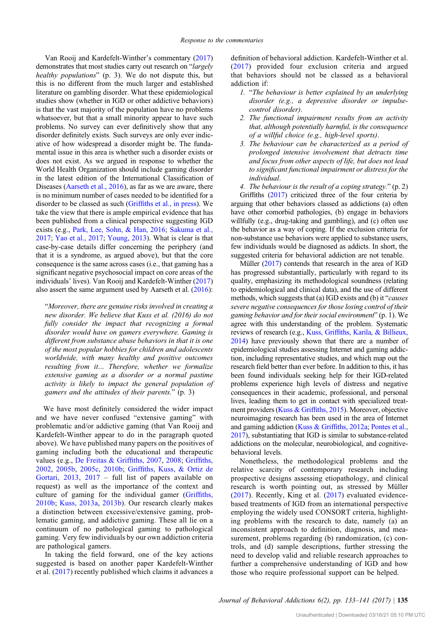Van Rooij and Kardefelt-Winther's commentary [\(2017](#page-9-0)) demonstrates that most studies carry out research on "largely healthy populations" (p. 3). We do not dispute this, but this is no different from the much larger and established literature on gambling disorder. What these epidemiological studies show (whether in IGD or other addictive behaviors) is that the vast majority of the population have no problems whatsoever, but that a small minority appear to have such problems. No survey can ever definitively show that any disorder definitely exists. Such surveys are only ever indicative of how widespread a disorder might be. The fundamental issue in this area is whether such a disorder exists or does not exist. As we argued in response to whether the World Health Organization should include gaming disorder in the latest edition of the International Classification of Diseases [\(Aarseth et al., 2016\)](#page-7-0), as far as we are aware, there is no minimum number of cases needed to be identified for a disorder to be classed as such (Griffi[ths et al., in press](#page-7-0)). We take the view that there is ample empirical evidence that has been published from a clinical perspective suggesting IGD exists (e.g., [Park, Lee, Sohn, & Han, 2016;](#page-9-0) [Sakuma et al.,](#page-9-0) [2017](#page-9-0); [Yao et al., 2017](#page-9-0); [Young, 2013\)](#page-9-0). What is clear is that case-by-case details differ concerning the periphery (and that it is a syndrome, as argued above), but that the core consequence is the same across cases (i.e., that gaming has a significant negative psychosocial impact on core areas of the individuals' lives). Van Rooij and Kardefelt-Winther [\(2017](#page-9-0)) also assert the same argument used by Aarseth et al. ([2016\)](#page-7-0):

"Moreover, there are genuine risks involved in creating a new disorder. We believe that Kuss et al. (2016) do not fully consider the impact that recognizing a formal disorder would have on gamers everywhere. Gaming is different from substance abuse behaviors in that it is one of the most popular hobbies for children and adolescents worldwide, with many healthy and positive outcomes resulting from it... Therefore, whether we formalize extensive gaming as a disorder or a normal pastime activity is likely to impact the general population of gamers and the attitudes of their parents." (p. 3)

We have most definitely considered the wider impact and we have never confused "extensive gaming" with problematic and/or addictive gaming (that Van Rooij and Kardefelt-Winther appear to do in the paragraph quoted above). We have published many papers on the positives of gaming including both the educational and therapeutic values (e.g., [De Freitas & Grif](#page-7-0)fiths, 2007, [2008](#page-7-0); [Grif](#page-7-0)fiths, [2002,](#page-7-0) [2005b,](#page-7-0) [2005c](#page-7-0), [2010b;](#page-7-0) Griffi[ths, Kuss, & Ortiz de](#page-8-0) [Gortari, 2013,](#page-8-0) [2017](#page-8-0) – full list of papers available on request) as well as the importance of the context and culture of gaming for the individual gamer ([Grif](#page-7-0)fiths, [2010b;](#page-7-0) [Kuss, 2013a](#page-8-0), [2013b\)](#page-8-0). Our research clearly makes a distinction between excessive/extensive gaming, problematic gaming, and addictive gaming. These all lie on a continuum of no pathological gaming to pathological gaming. Very few individuals by our own addiction criteria are pathological gamers.

In taking the field forward, one of the key actions suggested is based on another paper Kardefelt-Winther et al. ([2017](#page-8-0)) recently published which claims it advances a definition of behavioral addiction. Kardefelt-Winther et al. ([2017](#page-8-0)) provided four exclusion criteria and argued that behaviors should not be classed as a behavioral addiction if:

- 1. "The behaviour is better explained by an underlying disorder (e.g., a depressive disorder or impulsecontrol disorder).
- 2. The functional impairment results from an activity that, although potentially harmful, is the consequence of a willful choice (e.g., high-level sports).
- 3. The behaviour can be characterized as a period of prolonged intensive involvement that detracts time and focus from other aspects of life, but does not lead to significant functional impairment or distress for the individual.

4. The behaviour is the result of a coping strategy." (p. 2) Griffiths [\(2017\)](#page-7-0) criticized three of the four criteria by arguing that other behaviors classed as addictions (a) often have other comorbid pathologies, (b) engage in behaviors willfully (e.g., drug-taking and gambling), and (c) often use the behavior as a way of coping. If the exclusion criteria for non-substance use behaviors were applied to substance users, few individuals would be diagnosed as addicts. In short, the suggested criteria for behavioral addiction are not tenable.

Müller ([2017](#page-9-0)) contends that research in the area of IGD has progressed substantially, particularly with regard to its quality, emphasizing its methodological soundness (relating to epidemiological and clinical data), and the use of different methods, which suggests that (a) IGD exists and (b) it "causes severe negative consequences for those losing control of their gaming behavior and for their social environment" (p. 1). We agree with this understanding of the problem. Systematic reviews of research (e.g., Kuss, Griffi[ths, Karila, & Billieux,](#page-8-0) [2014](#page-8-0)) have previously shown that there are a number of epidemiological studies assessing Internet and gaming addiction, including representative studies, and which map out the research field better than ever before. In addition to this, it has been found individuals seeking help for their IGD-related problems experience high levels of distress and negative consequences in their academic, professional, and personal lives, leading them to get in contact with specialized treatment providers [\(Kuss & Grif](#page-8-0)fiths, 2015). Moreover, objective neuroimaging research has been used in the area of Internet and gaming addiction [\(Kuss & Grif](#page-8-0)fiths, 2012a; [Pontes et al.,](#page-9-0) [2017](#page-9-0)), substantiating that IGD is similar to substance-related addictions on the molecular, neurobiological, and cognitivebehavioral levels.

Nonetheless, the methodological problems and the relative scarcity of contemporary research including prospective designs assessing etiopathology, and clinical research is worth pointing out, as stressed by Müller ([2017](#page-9-0)). Recently, King et al. ([2017](#page-8-0)) evaluated evidencebased treatments of IGD from an international perspective employing the widely used CONSORT criteria, highlighting problems with the research to date, namely (a) an inconsistent approach to definition, diagnosis, and measurement, problems regarding (b) randomization, (c) controls, and (d) sample descriptions, further stressing the need to develop valid and reliable research approaches to further a comprehensive understanding of IGD and how those who require professional support can be helped.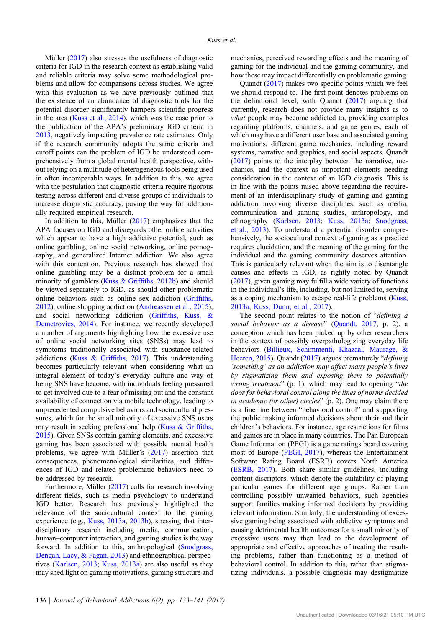Müller ([2017\)](#page-9-0) also stresses the usefulness of diagnostic criteria for IGD in the research context as establishing valid and reliable criteria may solve some methodological problems and allow for comparisons across studies. We agree with this evaluation as we have previously outlined that the existence of an abundance of diagnostic tools for the potential disorder significantly hampers scientific progress in the area ([Kuss et al., 2014](#page-8-0)), which was the case prior to the publication of the APA's preliminary IGD criteria in [2013](#page-7-0), negatively impacting prevalence rate estimates. Only if the research community adopts the same criteria and cutoff points can the problem of IGD be understood comprehensively from a global mental health perspective, without relying on a multitude of heterogeneous tools being used in often incomparable ways. In addition to this, we agree with the postulation that diagnostic criteria require rigorous testing across different and diverse groups of individuals to increase diagnostic accuracy, paving the way for additionally required empirical research.

In addition to this, Müller  $(2017)$  $(2017)$  $(2017)$  emphasizes that the APA focuses on IGD and disregards other online activities which appear to have a high addictive potential, such as online gambling, online social networking, online pornography, and generalized Internet addiction. We also agree with this contention. Previous research has showed that online gambling may be a distinct problem for a small minority of gamblers ([Kuss & Grif](#page-8-0)fiths, 2012b) and should be viewed separately to IGD, as should other problematic online behaviors such as online sex addiction ([Grif](#page-7-0)fiths, [2012](#page-7-0)), online shopping addiction [\(Andreassen et al., 2015\)](#page-7-0), and social networking addiction (Griffi[ths, Kuss, &](#page-7-0) [Demetrovics, 2014\)](#page-7-0). For instance, we recently developed a number of arguments highlighting how the excessive use of online social networking sites (SNSs) may lead to symptoms traditionally associated with substance-related addictions [\(Kuss & Grif](#page-8-0)fiths, 2017). This understanding becomes particularly relevant when considering what an integral element of today's everyday culture and way of being SNS have become, with individuals feeling pressured to get involved due to a fear of missing out and the constant availability of connection via mobile technology, leading to unprecedented compulsive behaviors and sociocultural pressures, which for the small minority of excessive SNS users may result in seeking professional help [\(Kuss & Grif](#page-8-0)fiths, [2015](#page-8-0)). Given SNSs contain gaming elements, and excessive gaming has been associated with possible mental health problems, we agree with Müller's ([2017\)](#page-9-0) assertion that consequences, phenomenological similarities, and differences of IGD and related problematic behaviors need to be addressed by research.

Furthermore, Müller ([2017\)](#page-9-0) calls for research involving different fields, such as media psychology to understand IGD better. Research has previously highlighted the relevance of the sociocultural context to the gaming experience (e.g., [Kuss, 2013a](#page-8-0), [2013b](#page-8-0)), stressing that interdisciplinary research including media, communication, human–computer interaction, and gaming studies is the way forward. In addition to this, anthropological [\(Snodgrass,](#page-9-0) [Dengah, Lacy, & Fagan, 2013](#page-9-0)) and ethnographical perspectives ([Karlsen, 2013;](#page-8-0) [Kuss, 2013a](#page-8-0)) are also useful as they may shed light on gaming motivations, gaming structure and mechanics, perceived rewarding effects and the meaning of gaming for the individual and the gaming community, and how these may impact differentially on problematic gaming.

Quandt [\(2017](#page-9-0)) makes two specific points which we feel we should respond to. The first point denotes problems on the definitional level, with Quandt [\(2017](#page-9-0)) arguing that currently, research does not provide many insights as to what people may become addicted to, providing examples regarding platforms, channels, and game genres, each of which may have a different user base and associated gaming motivations, different game mechanics, including reward systems, narrative and graphics, and social aspects. Quandt ([2017\)](#page-9-0) points to the interplay between the narrative, mechanics, and the context as important elements needing consideration in the context of an IGD diagnosis. This is in line with the points raised above regarding the requirement of an interdisciplinary study of gaming and gaming addiction involving diverse disciplines, such as media, communication and gaming studies, anthropology, and ethnography ([Karlsen, 2013](#page-8-0); [Kuss, 2013a;](#page-8-0) [Snodgrass,](#page-9-0) [et al., 2013](#page-9-0)). To understand a potential disorder comprehensively, the sociocultural context of gaming as a practice requires elucidation, and the meaning of the gaming for the individual and the gaming community deserves attention. This is particularly relevant when the aim is to disentangle causes and effects in IGD, as rightly noted by Quandt ([2017\)](#page-9-0), given gaming may fulfill a wide variety of functions in the individual's life, including, but not limited to, serving as a coping mechanism to escape real-life problems ([Kuss,](#page-8-0) [2013a](#page-8-0); [Kuss, Dunn, et al., 2017\)](#page-8-0).

The second point relates to the notion of "defining a social behavior as a disease" ([Quandt, 2017](#page-9-0), p. 2), a conception which has been picked up by other researchers in the context of possibly overpathologizing everyday life behaviors ([Billieux, Schimmenti, Khazaal, Maurage, &](#page-7-0) [Heeren, 2015](#page-7-0)). Quandt [\(2017](#page-9-0)) argues prematurely "defining 'something' as an addiction may affect many people's lives by stigmatizing them and exposing them to potentially wrong treatment" (p. 1), which may lead to opening "the door for behavioral control along the lines of norms decided in academic (or other) circles" (p. 2). One may claim there is a fine line between "behavioral control" and supporting the public making informed decisions about their and their children's behaviors. For instance, age restrictions for films and games are in place in many countries. The Pan European Game Information (PEGI) is a game ratings board covering most of Europe ([PEGI, 2017](#page-9-0)), whereas the Entertainment Software Rating Board (ESRB) covers North America ([ESRB, 2017\)](#page-7-0). Both share similar guidelines, including content discriptors, which denote the suitability of playing particular games for different age groups. Rather than controlling possibly unwanted behaviors, such agencies support families making informed decisions by providing relevant information. Similarly, the understanding of excessive gaming being associated with addictive symptoms and causing detrimental health outcomes for a small minority of excessive users may then lead to the development of appropriate and effective approaches of treating the resulting problems, rather than functioning as a method of behavioral control. In addition to this, rather than stigmatizing individuals, a possible diagnosis may destigmatize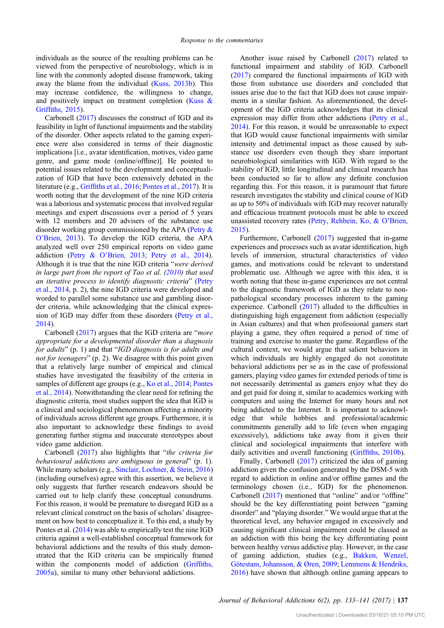individuals as the source of the resulting problems can be viewed from the perspective of neurobiology, which is in line with the commonly adopted disease framework, taking away the blame from the individual [\(Kuss, 2013b\)](#page-8-0). This may increase confidence, the willingness to change, and positively impact on treatment completion [\(Kuss &](#page-8-0) Griffi[ths, 2015\)](#page-8-0).

Carbonell ([2017\)](#page-7-0) discusses the construct of IGD and its feasibility in light of functional impairments and the stability of the disorder. Other aspects related to the gaming experience were also considered in terms of their diagnostic implications [i.e., avatar identification, motives, video game genre, and game mode (online/offline)]. He pointed to potential issues related to the development and conceptualization of IGD that have been extensively debated in the literature (e.g., Griffi[ths et al., 2016;](#page-8-0) [Pontes et al., 2017](#page-9-0)). It is worth noting that the development of the nine IGD criteria was a laborious and systematic process that involved regular meetings and expert discussions over a period of 5 years with 12 members and 20 advisers of the substance use disorder working group commissioned by the APA ([Petry &](#page-9-0) O'[Brien, 2013](#page-9-0)). To develop the IGD criteria, the APA analyzed well over 250 empirical reports on video game addiction (Petry & O'[Brien, 2013](#page-9-0); [Petry et al., 2014\)](#page-9-0). Although it is true that the nine IGD criteria "were derived in large part from the report of Tao et al. ([2010\)](#page-9-0) that used an iterative process to identify diagnostic criteria" ([Petry](#page-9-0) [et al., 2014,](#page-9-0) p. 2), the nine IGD criteria were developed and worded to parallel some substance use and gambling disorder criteria, while acknowledging that the clinical expression of IGD may differ from these disorders [\(Petry et al.,](#page-9-0) [2014](#page-9-0)).

Carbonell ([2017\)](#page-7-0) argues that the IGD criteria are "more appropriate for a developmental disorder than a diagnosis for adults" (p. 1) and that "IGD diagnosis is for adults and not for teenagers" (p. 2). We disagree with this point given that a relatively large number of empirical and clinical studies have investigated the feasibility of the criteria in samples of different age groups (e.g., [Ko et al., 2014](#page-8-0); [Pontes](#page-9-0) [et al., 2014](#page-9-0)). Notwithstanding the clear need for refining the diagnostic criteria, most studies support the idea that IGD is a clinical and sociological phenomenon affecting a minority of individuals across different age groups. Furthermore, it is also important to acknowledge these findings to avoid generating further stigma and inaccurate stereotypes about video game addiction.

Carbonell [\(2017](#page-7-0)) also highlights that "the criteria for behavioural addictions are ambiguous in general" (p. 1). While many scholars (e.g., [Sinclair, Lochner, & Stein, 2016](#page-9-0)) (including ourselves) agree with this assertion, we believe it only suggests that further research endeavors should be carried out to help clarify these conceptual conundrums. For this reason, it would be premature to disregard IGD as a relevant clinical construct on the basis of scholars' disagreement on how best to conceptualize it. To this end, a study by Pontes et al. ([2014\)](#page-9-0) was able to empirically test the nine IGD criteria against a well-established conceptual framework for behavioral addictions and the results of this study demonstrated that the IGD criteria can be empirically framed within the components model of addiction ([Grif](#page-7-0)fiths, [2005a\)](#page-7-0), similar to many other behavioral addictions.

Another issue raised by Carbonell [\(2017](#page-7-0)) related to functional impairment and stability of IGD. Carbonell ([2017\)](#page-7-0) compared the functional impairments of IGD with those from substance use disorders and concluded that issues arise due to the fact that IGD does not cause impairments in a similar fashion. As aforementioned, the development of the IGD criteria acknowledges that its clinical expression may differ from other addictions ([Petry et al.,](#page-9-0) [2014\)](#page-9-0). For this reason, it would be unreasonable to expect that IGD would cause functional impairments with similar intensity and detrimental impact as those caused by substance use disorders even though they share important neurobiological similarities with IGD. With regard to the stability of IGD, little longitudinal and clinical research has been conducted so far to allow any definite conclusion regarding this. For this reason, it is paramount that future research investigates the stability and clinical course of IGD as up to 50% of individuals with IGD may recover naturally and efficacious treatment protocols must be able to exceed unassisted recovery rates [\(Petry, Rehbein, Ko, & O](#page-9-0)'Brien, [2015\)](#page-9-0).

Furthermore, Carbonell ([2017\)](#page-7-0) suggested that in-game experiences and processes such as avatar identification, high levels of immersion, structural characteristics of video games, and motivations could be relevant to understand problematic use. Although we agree with this idea, it is worth noting that these in-game experiences are not central to the diagnostic framework of IGD as they relate to nonpathological secondary processes inherent to the gaming experience. Carbonell [\(2017](#page-7-0)) alluded to the difficulties in distinguishing high engagement from addiction (especially in Asian cultures) and that when professional gamers start playing a game, they often required a period of time of training and exercise to master the game. Regardless of the cultural context, we would argue that salient behaviors in which individuals are highly engaged do not constitute behavioral addictions per se as in the case of professional gamers, playing video games for extended periods of time is not necessarily detrimental as gamers enjoy what they do and get paid for doing it, similar to academics working with computers and using the Internet for many hours and not being addicted to the Internet. It is important to acknowledge that while hobbies and professional/academic commitments generally add to life (even when engaging excessively), addictions take away from it given their clinical and sociological impairments that interfere with daily activities and overall functioning (Griffi[ths, 2010b\)](#page-7-0).

Finally, Carbonell ([2017](#page-7-0)) criticized the idea of gaming addiction given the confusion generated by the DSM-5 with regard to addiction in online and/or offline games and the terminology chosen (i.e., IGD) for the phenomenon. Carbonell ([2017\)](#page-7-0) mentioned that "online" and/or "offline" should be the key differentiating point between "gaming disorder" and "playing disorder." We would argue that at the theoretical level, any behavior engaged in excessively and causing significant clinical impairment could be classed as an addiction with this being the key differentiating point between healthy versus addictive play. However, in the case of gaming addiction, studies (e.g., [Bakken, Wenzel,](#page-7-0) [Götestam, Johansson, & Øren, 2009](#page-7-0); [Lemmens & Hendriks,](#page-9-0) [2016\)](#page-9-0) have shown that although online gaming appears to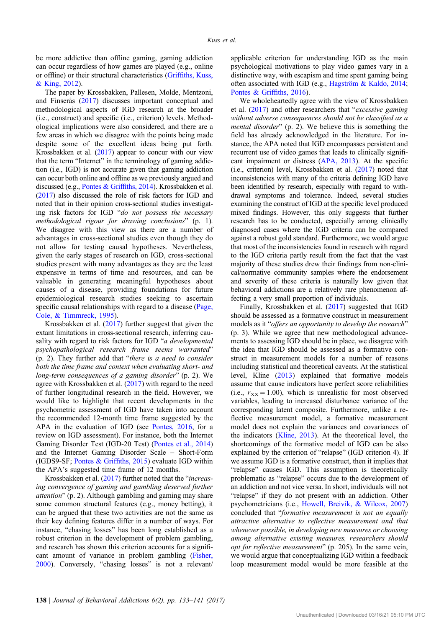be more addictive than offline gaming, gaming addiction can occur regardless of how games are played (e.g., online or offline) or their structural characteristics (Griffi[ths, Kuss,](#page-8-0) [& King, 2012](#page-8-0)).

The paper by Krossbakken, Pallesen, Molde, Mentzoni, and Finserås [\(2017](#page-8-0)) discusses important conceptual and methodological aspects of IGD research at the broader (i.e., construct) and specific (i.e., criterion) levels. Methodological implications were also considered, and there are a few areas in which we disagree with the points being made despite some of the excellent ideas being put forth. Krossbakken et al. [\(2017\)](#page-8-0) appear to concur with our view that the term "Internet" in the terminology of gaming addiction (i.e., IGD) is not accurate given that gaming addiction can occur both online and offline as we previously argued and discussed (e.g., [Pontes & Grif](#page-9-0)fiths, 2014). Krossbakken et al. [\(2017\)](#page-8-0) also discussed the role of risk factors for IGD and noted that in their opinion cross-sectional studies investigating risk factors for IGD "do not possess the necessary methodological rigour for drawing conclusions" (p. 1). We disagree with this view as there are a number of advantages in cross-sectional studies even though they do not allow for testing causal hypotheses. Nevertheless, given the early stages of research on IGD, cross-sectional studies present with many advantages as they are the least expensive in terms of time and resources, and can be valuable in generating meaningful hypotheses about causes of a disease, providing foundations for future epidemiological research studies seeking to ascertain specific causal relationships with regard to a disease [\(Page,](#page-9-0) [Cole, & Timmreck, 1995](#page-9-0)).

Krossbakken et al. [\(2017](#page-8-0)) further suggest that given the extant limitations in cross-sectional research, inferring causality with regard to risk factors for IGD "*a developmental* psychopathological research frame seems warranted" (p. 2). They further add that "there is a need to consider both the time frame and context when evaluating short- and long-term consequences of a gaming disorder" (p. 2). We agree with Krossbakken et al. ([2017](#page-8-0)) with regard to the need of further longitudinal research in the field. However, we would like to highlight that recent developments in the psychometric assessment of IGD have taken into account the recommended 12-month time frame suggested by the APA in the evaluation of IGD (see [Pontes, 2016,](#page-9-0) for a review on IGD assessment). For instance, both the Internet Gaming Disorder Test (IGD-20 Test) [\(Pontes et al., 2014](#page-9-0)) and the Internet Gaming Disorder Scale – Short-Form (IGDS9-SF; [Pontes & Grif](#page-9-0)fiths, 2015) evaluate IGD within the APA's suggested time frame of 12 months.

Krossbakken et al. ([2017\)](#page-8-0) further noted that the "increasing convergence of gaming and gambling deserved further attention" (p. 2). Although gambling and gaming may share some common structural features (e.g., money betting), it can be argued that these two activities are not the same as their key defining features differ in a number of ways. For instance, "chasing losses" has been long established as a robust criterion in the development of problem gambling, and research has shown this criterion accounts for a significant amount of variance in problem gambling [\(Fisher,](#page-7-0) [2000](#page-7-0)). Conversely, "chasing losses" is not a relevant/

applicable criterion for understanding IGD as the main psychological motivations to play video games vary in a distinctive way, with escapism and time spent gaming being often associated with IGD (e.g., [Hagström & Kaldo, 2014](#page-8-0); [Pontes & Grif](#page-9-0)fiths, 2016).

We wholeheartedly agree with the view of Krossbakken et al. ([2017\)](#page-8-0) and other researchers that "excessive gaming without adverse consequences should not be classified as a mental disorder" (p. 2). We believe this is something the field has already acknowledged in the literature. For instance, the APA noted that IGD encompasses persistent and recurrent use of video games that leads to clinically significant impairment or distress [\(APA, 2013](#page-7-0)). At the specific (i.e., criterion) level, Krossbakken et al. ([2017](#page-8-0)) noted that inconsistencies with many of the criteria defining IGD have been identified by research, especially with regard to withdrawal symptoms and tolerance. Indeed, several studies examining the construct of IGD at the specific level produced mixed findings. However, this only suggests that further research has to be conducted, especially among clinically diagnosed cases where the IGD criteria can be compared against a robust gold standard. Furthermore, we would argue that most of the inconsistencies found in research with regard to the IGD criteria partly result from the fact that the vast majority of these studies drew their findings from non-clinical/normative community samples where the endorsement and severity of these criteria is naturally low given that behavioral addictions are a relatively rare phenomenon affecting a very small proportion of individuals.

Finally, Krossbakken et al. [\(2017](#page-8-0)) suggested that IGD should be assessed as a formative construct in measurement models as it "*offers an opportunity to develop the research*" (p. 3). While we agree that new methodological advancements to assessing IGD should be in place, we disagree with the idea that IGD should be assessed as a formative construct in measurement models for a number of reasons including statistical and theoretical caveats. At the statistical level, Kline [\(2013](#page-8-0)) explained that formative models assume that cause indicators have perfect score reliabilities (i.e.,  $r_{XX} = 1.00$ ), which is unrealistic for most observed variables, leading to increased disturbance variance of the corresponding latent composite. Furthermore, unlike a reflective measurement model, a formative measurement model does not explain the variances and covariances of the indicators ([Kline, 2013\)](#page-8-0). At the theoretical level, the shortcomings of the formative model of IGD can be also explained by the criterion of "relapse" (IGD criterion 4). If we assume IGD is a formative construct, then it implies that "relapse" causes IGD. This assumption is theoretically problematic as "relapse" occurs due to the development of an addiction and not vice versa. In short, individuals will not "relapse" if they do not present with an addiction. Other psychometricians (i.e., [Howell, Breivik, & Wilcox, 2007\)](#page-8-0) concluded that "formative measurement is not an equally attractive alternative to reflective measurement and that whenever possible, in developing new measures or choosing among alternative existing measures, researchers should opt for reflective measurement" (p. 205). In the same vein, we would argue that conceptualizing IGD within a feedback loop measurement model would be more feasible at the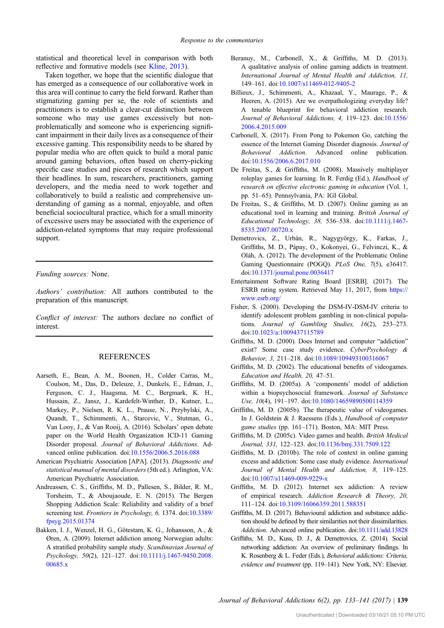<span id="page-7-0"></span>statistical and theoretical level in comparison with both reflective and formative models (see [Kline, 2013\)](#page-8-0).

Taken together, we hope that the scientific dialogue that has emerged as a consequence of our collaborative work in this area will continue to carry the field forward. Rather than stigmatizing gaming per se, the role of scientists and practitioners is to establish a clear-cut distinction between someone who may use games excessively but nonproblematically and someone who is experiencing significant impairment in their daily lives as a consequence of their excessive gaming. This responsibility needs to be shared by popular media who are often quick to build a moral panic around gaming behaviors, often based on cherry-picking specific case studies and pieces of research which support their headlines. In sum, researchers, practitioners, gaming developers, and the media need to work together and collaboratively to build a realistic and comprehensive understanding of gaming as a normal, enjoyable, and often beneficial sociocultural practice, which for a small minority of excessive users may be associated with the experience of addiction-related symptoms that may require professional support.

Funding sources: None.

Authors' contribution: All authors contributed to the preparation of this manuscript.

Conflict of interest: The authors declare no conflict of interest.

## REFERENCES

- Aarseth, E., Bean, A. M., Boonen, H., Colder Carras, M., Coulson, M., Das, D., Deleuze, J., Dunkels, E., Edman, J., Ferguson, C. J., Haagsma, M. C., Bergmark, K. H., Hussain, Z., Jansz, J., Kardefelt-Winther, D., Kutner, L., Markey, P., Nielsen, R. K. L., Prause, N., Przybylski, A., Quandt, T., Schimmenti, A., Starcevic, V., Stutman, G., Van Looy, J., & Van Rooij, A. (2016). Scholars' open debate paper on the World Health Organization ICD-11 Gaming Disorder proposal. Journal of Behavioral Addictions. Advanced online publication. doi[:10.1556/2006.5.2016.088](http://dx.doi.org/10.1556/2006.5.2016.088)
- American Psychiatric Association [APA]. (2013). Diagnostic and statistical manual of mental disorders (5th ed.). Arlington, VA: American Psychiatric Association.
- Andreassen, C. S., Griffiths, M. D., Pallesen, S., Bilder, R. M., Torsheim, T., & Aboujaoude, E. N. (2015). The Bergen Shopping Addiction Scale: Reliability and validity of a brief screening test. Frontiers in Psychology, 6, 1374. doi:[10.3389/](http://dx.doi.org/10.3389/fpsyg.2015.01374) [fpsyg.2015.01374](http://dx.doi.org/10.3389/fpsyg.2015.01374)
- Bakken, I. J., Wenzel, H. G., Götestam, K. G., Johansson, A., & Øren, A. (2009). Internet addiction among Norwegian adults: A stratified probability sample study. Scandinavian Journal of Psychology, 50(2), 121–127. doi:[10.1111/j.1467-9450.2008.](http://dx.doi.org/10.1111/j.1467-9450.2008.00685.x) [00685.x](http://dx.doi.org/10.1111/j.1467-9450.2008.00685.x)
- Beranuy, M., Carbonell, X., & Griffiths, M. D. (2013). A qualitative analysis of online gaming addicts in treatment. International Journal of Mental Health and Addiction, 11, 149–161. doi[:10.1007/s11469-012-9405-2](http://dx.doi.org/10.1007/s11469-012-9405-2)
- Billieux, J., Schimmenti, A., Khazaal, Y., Maurage, P., & Heeren, A. (2015). Are we overpathologizing everyday life? A tenable blueprint for behavioral addiction research. Journal of Behavioral Addictions, 4, 119–123. doi[:10.1556/](http://dx.doi.org/10.1556/2006.4.2015.009) [2006.4.2015.009](http://dx.doi.org/10.1556/2006.4.2015.009)
- Carbonell, X. (2017). From Pong to Pokemon Go, catching the essence of the Internet Gaming Disorder diagnosis. Journal of Behavioral Addiction. Advanced online publication. doi[:10.1556/2006.6.2017.010](http://dx.doi.org/10.1556/2006.6.2017.010)
- De Freitas, S., & Griffiths, M. (2008). Massively multiplayer roleplay games for learning. In R. Ferdig (Ed.), Handbook of research on effective electronic gaming in education (Vol. 1, pp. 51–65). Pennsylvania, PA: IGI Global.
- De Freitas, S., & Griffiths, M. D. (2007). Online gaming as an educational tool in learning and training. British Journal of Educational Technology, 38, 536–538. doi:[10.1111/j.1467-](http://dx.doi.org/10.1111/j.1467-8535.2007.00720.x) [8535.2007.00720.x](http://dx.doi.org/10.1111/j.1467-8535.2007.00720.x)
- Demetrovics, Z., Urbán, R., Nagygyörgy, K., Farkas, J., Griffiths, M. D., Pápay, O., Kokonyei, G., Felvinczi, K., & Oláh, A. (2012). The development of the Problematic Online Gaming Questionnaire (POGQ). PLoS One, 7(5), e36417. doi[:10.1371/journal.pone.0036417](http://dx.doi.org/10.1371/journal.pone.0036417)
- Entertainment Software Rating Board [ESRB]. (2017). The ESRB rating system. Retrieved May 11, 2017, from [https://](https://www.esrb.org/) [www.esrb.org/](https://www.esrb.org/)
- Fisher, S. (2000). Developing the DSM-IV-DSM-IV criteria to identify adolescent problem gambling in non-clinical populations. Journal of Gambling Studies, 16(2), 253–273. doi[:10.1023/a:1009437115789](http://dx.doi.org/10.1023/a:1009437115789)
- Griffiths, M. D. (2000). Does Internet and computer "addiction" exist? Some case study evidence. CyberPsychology & Behavior, 3, 211–218. doi[:10.1089/109493100316067](http://dx.doi.org/10.1089/109493100316067)
- Griffiths, M. D. (2002). The educational benefits of videogames. Education and Health, 20, 47–51.
- Griffiths, M. D. (2005a). A 'components' model of addiction within a biopsychosocial framework. Journal of Substance Use, 10(4), 191–197. doi[:10.1080/14659890500114359](http://dx.doi.org/10.1080/14659890500114359)
- Griffiths, M. D. (2005b). The therapeutic value of videogames. In J. Goldstein & J. Raessens (Eds.), Handbook of computer game studies (pp. 161–171). Boston, MA: MIT Press.
- Griffiths, M. D. (2005c). Video games and health. British Medical Journal, 331, 122–123. doi[:10.1136/bmj.331.7509.122](http://dx.doi.org/10.1136/bmj.331.7509.122)
- Griffiths, M. D. (2010b). The role of context in online gaming excess and addiction: Some case study evidence. International Journal of Mental Health and Addiction, 8, 119–125. doi[:10.1007/s11469-009-9229-x](http://dx.doi.org/10.1007/s11469-009-9229-x)
- Griffiths, M. D. (2012). Internet sex addiction: A review of empirical research. Addiction Research & Theory, 20, 111–124. doi[:10.3109/16066359.2011.588351](http://dx.doi.org/10.3109/16066359.2011.588351)
- Griffiths, M. D. (2017). Behavioural addiction and substance addiction should be defined by their similarities not their dissimilarities. Addiction. Advanced online publication. doi:[10.1111/add.13828](http://dx.doi.org/10.1111/add.13828)
- Griffiths, M. D., Kuss, D. J., & Demetrovics, Z. (2014). Social networking addiction: An overview of preliminary findings. In K. Rosenberg & L. Feder (Eds.), Behavioral addictions: Criteria, evidence and treatment (pp. 119–141). New York, NY: Elsevier.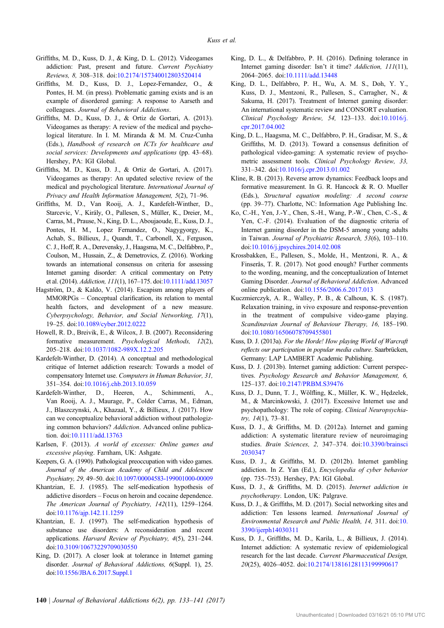- <span id="page-8-0"></span>Griffiths, M. D., Kuss, D. J., & King, D. L. (2012). Videogames addiction: Past, present and future. Current Psychiatry Reviews, 8, 308–318. doi[:10.2174/157340012803520414](http://dx.doi.org/10.2174/157340012803520414)
- Griffiths, M. D., Kuss, D. J., Lopez-Fernandez, O., & Pontes, H. M. (in press). Problematic gaming exists and is an example of disordered gaming: A response to Aarseth and colleagues. Journal of Behavioral Addictions.
- Griffiths, M. D., Kuss, D. J., & Ortiz de Gortari, A. (2013). Videogames as therapy: A review of the medical and psychological literature. In I. M. Miranda & M. M. Cruz-Cunha (Eds.), Handbook of research on ICTs for healthcare and social services: Developments and applications (pp. 43–68). Hershey, PA: IGI Global.
- Griffiths, M. D., Kuss, D. J., & Ortiz de Gortari, A. (2017). Videogames as therapy: An updated selective review of the medical and psychological literature. International Journal of Privacy and Health Information Management, 5(2), 71–96.
- Griffiths, M. D., Van Rooij, A. J., Kardefelt-Winther, D., Starcevic, V., Király, O., Pallesen, S., Müller, K., Dreier, M., Carras, M., Prause, N., King, D. L., Aboujaoude, E., Kuss, D. J., Pontes, H. M., Lopez Fernandez, O., Nagygyorgy, K., Achab, S., Billieux, J., Quandt, T., Carbonell, X., Ferguson, C. J., Hoff, R. A., Derevensky, J., Haagsma, M. C., Delfabbro, P., Coulson, M., Hussain, Z., & Demetrovics, Z. (2016). Working towards an international consensus on criteria for assessing Internet gaming disorder: A critical commentary on Petry et al. (2014). Addiction, 111(1), 167–175. doi:[10.1111/add.13057](http://dx.doi.org/10.1111/add.13057)
- Hagström, D., & Kaldo, V. (2014). Escapism among players of MMORPGs – Conceptual clarification, its relation to mental health factors, and development of a new measure. Cyberpsychology, Behavior, and Social Networking, 17(1), 19–25. doi:[10.1089/cyber.2012.0222](http://dx.doi.org/10.1089/cyber.2012.0222)
- Howell, R. D., Breivik, E., & Wilcox, J. B. (2007). Reconsidering formative measurement. Psychological Methods, 12(2), 205–218. doi:[10.1037/1082-989X.12.2.205](http://dx.doi.org/10.1037/1082-989X.12.2.205)
- Kardefelt-Winther, D. (2014). A conceptual and methodological critique of Internet addiction research: Towards a model of compensatory Internet use. Computers in Human Behavior, 31, 351–354. doi:[10.1016/j.chb.2013.10.059](http://dx.doi.org/10.1016/j.chb.2013.10.059)
- Kardefelt-Winther, D., Heeren, A., Schimmenti, A., Van Rooij, A. J., Maurage, P., Colder Carras, M., Edman, J., Blaszczynski, A., Khazaal, Y., & Billieux, J. (2017). How can we conceptualize behavioral addiction without pathologizing common behaviors? Addiction. Advanced online publication. doi[:10.1111/add.13763](http://dx.doi.org/10.1111/add.13763)
- Karlsen, F. (2013). A world of excesses: Online games and excessive playing. Farnham, UK: Ashgate.
- Keepers, G. A. (1990). Pathological preoccupation with video games. Journal of the American Academy of Child and Adolescent Psychiatry, 29, 49–50. doi:[10.1097/00004583-199001000-00009](http://dx.doi.org/10.1097/00004583-199001000-00009)
- Khantzian, E. J. (1985). The self-medication hypothesis of addictive disorders – Focus on heroin and cocaine dependence. The American Journal of Psychiatry, 142(11), 1259–1264. doi:[10.1176/ajp.142.11.1259](http://dx.doi.org/10.1176/ajp.142.11.1259)
- Khantzian, E. J. (1997). The self-medication hypothesis of substance use disorders: A reconsideration and recent applications. Harvard Review of Psychiatry, 4(5), 231–244. doi:[10.3109/10673229709030550](http://dx.doi.org/10.3109/10673229709030550)
- King, D. (2017). A closer look at tolerance in Internet gaming disorder. Journal of Behavioral Addictions, 6(Suppl. 1), 25. doi:[10.1556/JBA.6.2017.Suppl.1](http://dx.doi.org/10.1556/JBA.6.2017.Suppl.1)
- King, D. L., & Delfabbro, P. H. (2016). Defining tolerance in Internet gaming disorder: Isn't it time? Addiction, 111(11), 2064–2065. doi[:10.1111/add.13448](http://dx.doi.org/10.1111/add.13448)
- King, D. L., Delfabbro, P. H., Wu, A. M. S., Doh, Y. Y., Kuss, D. J., Mentzoni, R., Pallesen, S., Carragher, N., & Sakuma, H. (2017). Treatment of Internet gaming disorder: An international systematic review and CONSORT evaluation. Clinical Psychology Review, 54, 123–133. doi:[10.1016/j.](http://dx.doi.org/10.1016/j.cpr.2017.04.002) [cpr.2017.04.002](http://dx.doi.org/10.1016/j.cpr.2017.04.002)
- King, D. L., Haagsma, M. C., Delfabbro, P. H., Gradisar, M. S., & Griffiths, M. D. (2013). Toward a consensus definition of pathological video-gaming: A systematic review of psychometric assessment tools. Clinical Psychology Review, 33, 331–342. doi[:10.1016/j.cpr.2013.01.002](http://dx.doi.org/10.1016/j.cpr.2013.01.002)
- Kline, R. B. (2013). Reverse arrow dynamics: Feedback loops and formative measurement. In G. R. Hancock & R. O. Mueller (Eds.), Structural equation modeling: A second course (pp. 39–77). Charlotte, NC: Information Age Publishing Inc.
- Ko, C.-H., Yen, J.-Y., Chen, S.-H., Wang, P.-W., Chen, C.-S., & Yen, C.-F. (2014). Evaluation of the diagnostic criteria of Internet gaming disorder in the DSM-5 among young adults in Taiwan. Journal of Psychiatric Research, 53(6), 103–110. doi[:10.1016/j.jpsychires.2014.02.008](http://dx.doi.org/10.1016/j.jpsychires.2014.02.008)
- Krossbakken, E., Pallesen, S., Molde, H., Mentzoni, R. A., & Finserås, T. R. (2017). Not good enough? Further comments to the wording, meaning, and the conceptualization of Internet Gaming Disorder. Journal of Behavioral Addiction. Advanced online publication. doi[:10.1556/2006.6.2017.013](http://dx.doi.org/10.1556/2006.6.2017.013)
- Kuczmierczyk, A. R., Walley, P. B., & Calhoun, K. S. (1987). Relaxation training, in vivo exposure and response-prevention in the treatment of compulsive video-game playing. Scandinavian Journal of Behaviour Therapy, 16, 185–190. doi[:10.1080/16506078709455801](http://dx.doi.org/10.1080/16506078709455801)
- Kuss, D. J. (2013a). For the Horde! How playing World of Warcraft reflects our participation in popular media culture. Saarbrücken, Germany: LAP LAMBERT Academic Publishing.
- Kuss, D. J. (2013b). Internet gaming addiction: Current perspectives. Psychology Research and Behavior Management, 6, 125–137. doi[:10.2147/PRBM.S39476](http://dx.doi.org/10.2147/PRBM.S39476)
- Kuss, D. J., Dunn, T. J., Wölfling, K., Müller, K. W., Hędzelek, M., & Marcinkowski, J. (2017). Excessive Internet use and psychopathology: The role of coping. Clinical Neuropsychiatry, 14(1), 73–81.
- Kuss, D. J., & Griffiths, M. D. (2012a). Internet and gaming addiction: A systematic literature review of neuroimaging studies. Brain Sciences, 2, 347–374. doi:[10.3390/brainsci](http://dx.doi.org/10.3390/brainsci2030347) [2030347](http://dx.doi.org/10.3390/brainsci2030347)
- Kuss, D. J., & Griffiths, M. D. (2012b). Internet gambling addiction. In Z. Yan (Ed.), Encyclopedia of cyber behavior (pp. 735–753). Hershey, PA: IGI Global.
- Kuss, D. J., & Griffiths, M. D. (2015). Internet addiction in psychotherapy. London, UK: Palgrave.
- Kuss, D. J., & Griffiths, M. D. (2017). Social networking sites and addiction: Ten lessons learned. International Journal of Environmental Research and Public Health, 14, 311. doi:[10.](http://dx.doi.org/10.3390/ijerph14030311) [3390/ijerph14030311](http://dx.doi.org/10.3390/ijerph14030311)
- Kuss, D. J., Griffiths, M. D., Karila, L., & Billieux, J. (2014). Internet addiction: A systematic review of epidemiological research for the last decade. Current Pharmaceutical Design, 20(25), 4026–4052. doi[:10.2174/13816128113199990617](http://dx.doi.org/10.2174/13816128113199990617)